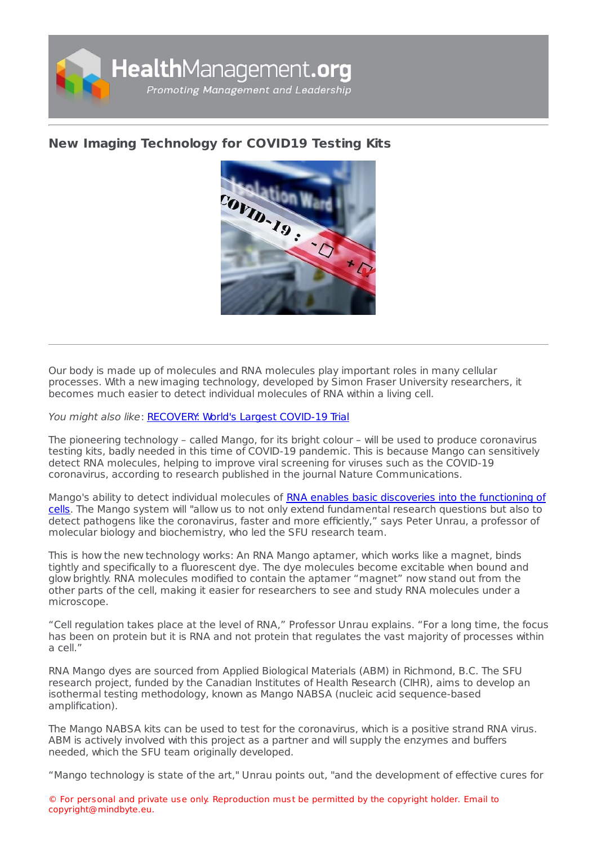

## **New Imaging [Technology](https://healthmanagement.org/s/new-imaging-technology-for-covid19-testing-kits) for COVID19 Testing Kits**



Our body is made up of molecules and RNA molecules play important roles in many cellular processes. With a new imaging technology, developed by Simon Fraser University researchers, it becomes much easier to detect individual molecules of RNA within a living cell.

You might also like: [RECOVERY:](https://healthmanagement.org/c/hospital/news/recovery-worlds-largest-covid-19-clinical-trial) World's Largest COVID-19 Trial

The pioneering technology – called Mango, for its bright colour – will be used to produce coronavirus testing kits, badly needed in this time of COVID-19 pandemic. This is because Mango can sensitively detect RNA molecules, helping to improve viral screening for viruses such as the COVID-19 coronavirus, according to research published in the journal Nature Communications.

Mango's ability to detect individual molecules of RNA enables basic discoveries into the functioning of cells. The Mango system will "allow us to not only extend [fundamental](https://www.nature.com/articles/s41467-020-14932-7) research questions but also to detect pathogens like the coronavirus, faster and more efficiently," says Peter Unrau, a professor of molecular biology and biochemistry, who led the SFU research team.

This is how the new technology works: An RNA Mango aptamer, which works like a magnet, binds tightly and specifically to a fluorescent dye. The dye molecules become excitable when bound and glow brightly. RNA molecules modified to contain the aptamer "magnet" now stand out from the other parts of the cell, making it easier for researchers to see and study RNA molecules under a microscope.

"Cell regulation takes place at the level of RNA," Professor Unrau explains. "For a long time, the focus has been on protein but it is RNA and not protein that regulates the vast majority of processes within a cell."

RNA Mango dyes are sourced from Applied Biological Materials (ABM) in Richmond, B.C. The SFU research project, funded by the Canadian Institutes of Health Research (CIHR), aims to develop an isothermal testing methodology, known as Mango NABSA (nucleic acid sequence-based amplification).

The Mango NABSA kits can be used to test for the coronavirus, which is a positive strand RNA virus. ABM is actively involved with this project as a partner and will supply the enzymes and buffers needed, which the SFU team originally developed.

"Mango technology is state of the art," Unrau points out, "and the development of effective cures for

© For personal and private use only. Reproduction must be permitted by the copyright holder. Email to copyright@mindbyte.eu.